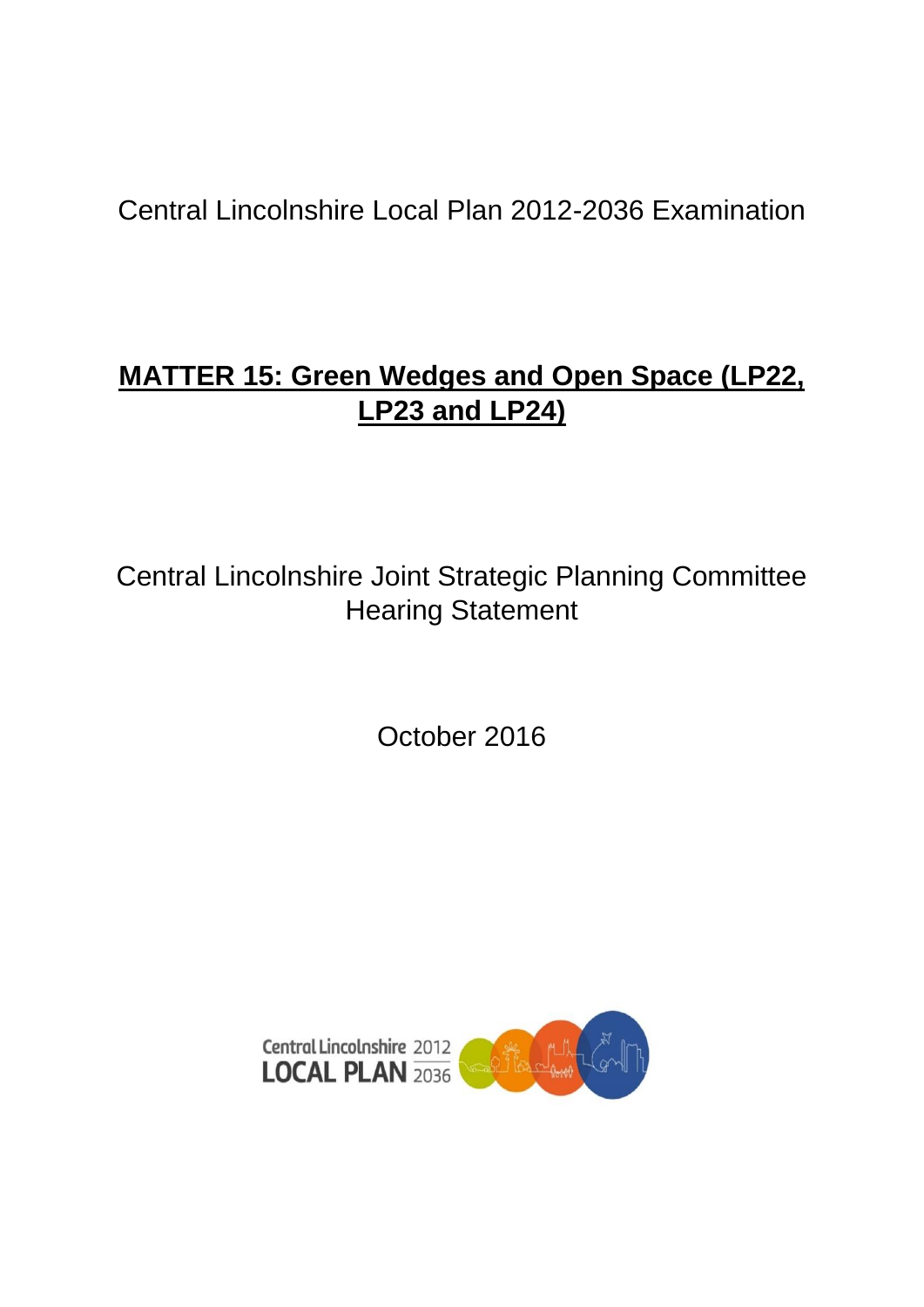Central Lincolnshire Local Plan 2012-2036 Examination

# **MATTER 15: Green Wedges and Open Space (LP22, LP23 and LP24)**

Central Lincolnshire Joint Strategic Planning Committee Hearing Statement

October 2016

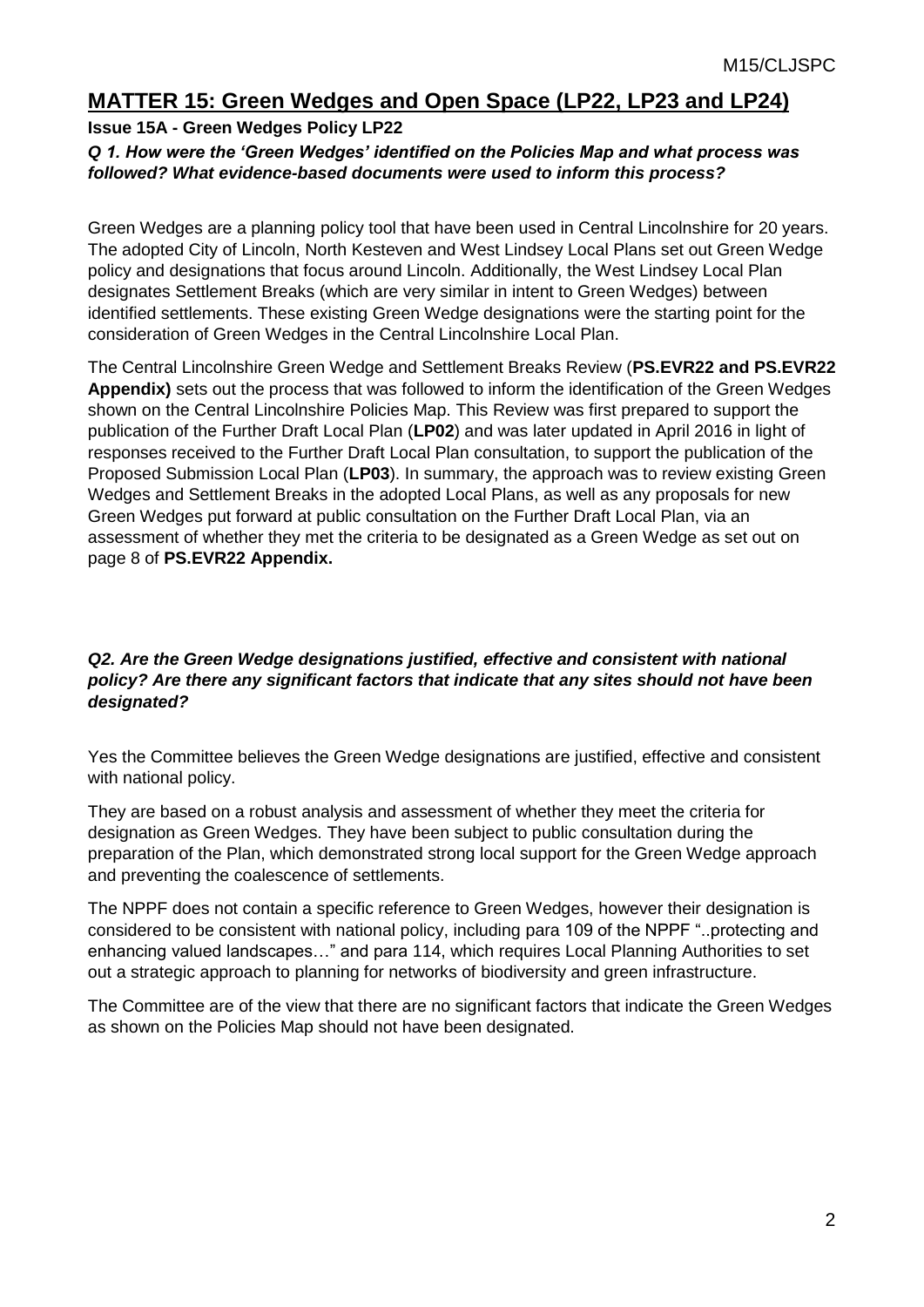## **MATTER 15: Green Wedges and Open Space (LP22, LP23 and LP24)**

#### **Issue 15A - Green Wedges Policy LP22**

#### *Q 1. How were the 'Green Wedges' identified on the Policies Map and what process was followed? What evidence-based documents were used to inform this process?*

Green Wedges are a planning policy tool that have been used in Central Lincolnshire for 20 years. The adopted City of Lincoln, North Kesteven and West Lindsey Local Plans set out Green Wedge policy and designations that focus around Lincoln. Additionally, the West Lindsey Local Plan designates Settlement Breaks (which are very similar in intent to Green Wedges) between identified settlements. These existing Green Wedge designations were the starting point for the consideration of Green Wedges in the Central Lincolnshire Local Plan.

The Central Lincolnshire Green Wedge and Settlement Breaks Review (**PS.EVR22 and PS.EVR22 Appendix)** sets out the process that was followed to inform the identification of the Green Wedges shown on the Central Lincolnshire Policies Map. This Review was first prepared to support the publication of the Further Draft Local Plan (**LP02**) and was later updated in April 2016 in light of responses received to the Further Draft Local Plan consultation, to support the publication of the Proposed Submission Local Plan (**LP03**). In summary, the approach was to review existing Green Wedges and Settlement Breaks in the adopted Local Plans, as well as any proposals for new Green Wedges put forward at public consultation on the Further Draft Local Plan, via an assessment of whether they met the criteria to be designated as a Green Wedge as set out on page 8 of **PS.EVR22 Appendix.**

#### **Q2. Are the Green Wedge designations justified, effective and consistent with national** *policy? Are there any significant factors that indicate that any sites should not have been designated?*

Yes the Committee believes the Green Wedge designations are justified, effective and consistent with national policy.

They are based on a robust analysis and assessment of whether they meet the criteria for designation as Green Wedges. They have been subject to public consultation during the preparation of the Plan, which demonstrated strong local support for the Green Wedge approach and preventing the coalescence of settlements.

The NPPF does not contain a specific reference to Green Wedges, however their designation is considered to be consistent with national policy, including para 109 of the NPPF "..protecting and enhancing valued landscapes…" and para 114, which requires Local Planning Authorities to set out a strategic approach to planning for networks of biodiversity and green infrastructure.

The Committee are of the view that there are no significant factors that indicate the Green Wedges as shown on the Policies Map should not have been designated.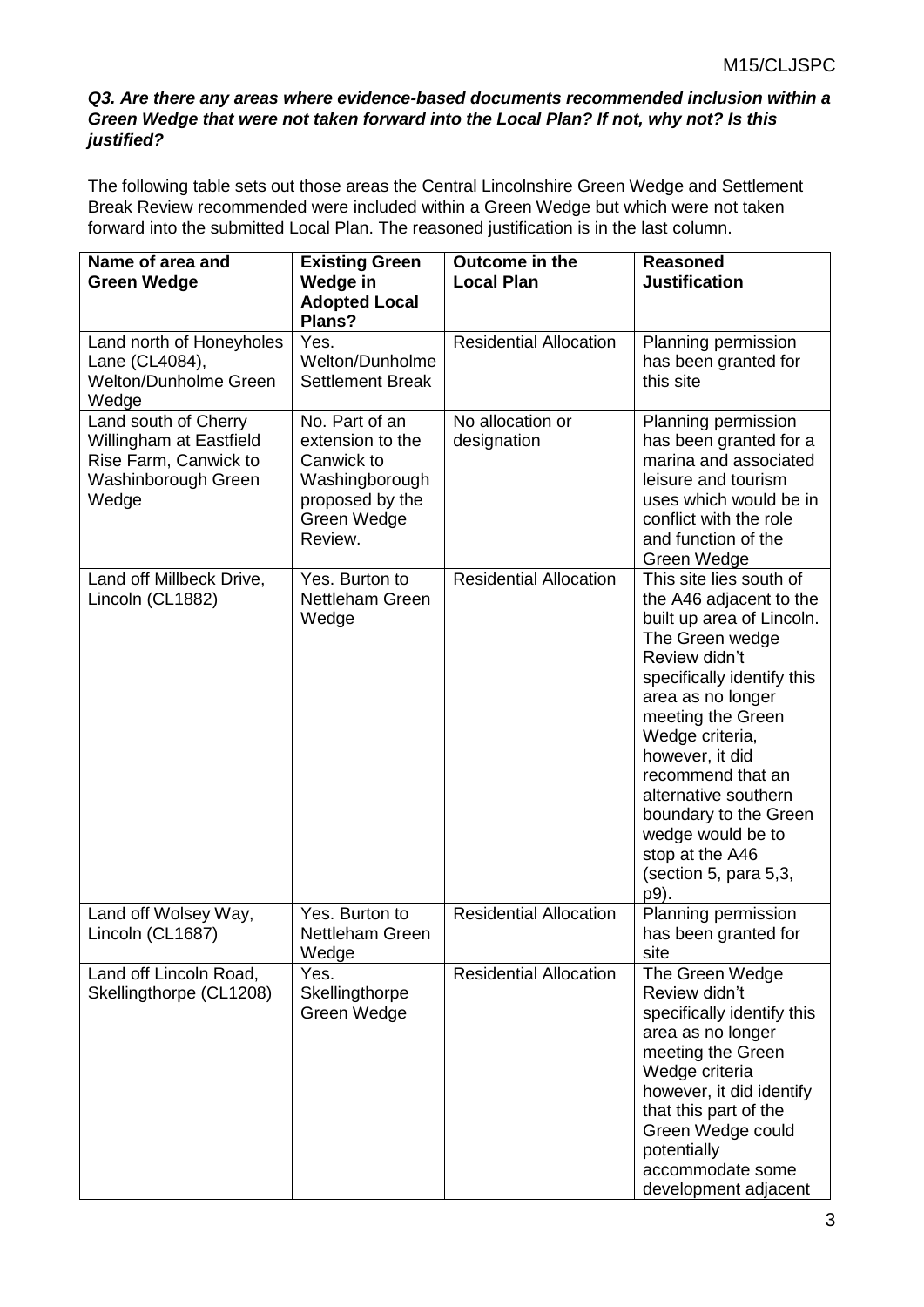#### *Q3. Are there any areas where evidence-based documents recommended inclusion within a Green Wedge that were not taken forward into the Local Plan? If not, why not? Is this justified?*

The following table sets out those areas the Central Lincolnshire Green Wedge and Settlement Break Review recommended were included within a Green Wedge but which were not taken forward into the submitted Local Plan. The reasoned justification is in the last column.

| Name of area and<br><b>Green Wedge</b>                                                                   | <b>Existing Green</b><br>Wedge in<br><b>Adopted Local</b><br>Plans?                                             | Outcome in the<br><b>Local Plan</b> | <b>Reasoned</b><br><b>Justification</b>                                                                                                                                                                                                                                                                                                                                          |
|----------------------------------------------------------------------------------------------------------|-----------------------------------------------------------------------------------------------------------------|-------------------------------------|----------------------------------------------------------------------------------------------------------------------------------------------------------------------------------------------------------------------------------------------------------------------------------------------------------------------------------------------------------------------------------|
| Land north of Honeyholes<br>Lane (CL4084),<br><b>Welton/Dunholme Green</b><br>Wedge                      | Yes.<br>Welton/Dunholme<br><b>Settlement Break</b>                                                              | <b>Residential Allocation</b>       | Planning permission<br>has been granted for<br>this site                                                                                                                                                                                                                                                                                                                         |
| Land south of Cherry<br>Willingham at Eastfield<br>Rise Farm, Canwick to<br>Washinborough Green<br>Wedge | No. Part of an<br>extension to the<br>Canwick to<br>Washingborough<br>proposed by the<br>Green Wedge<br>Review. | No allocation or<br>designation     | Planning permission<br>has been granted for a<br>marina and associated<br>leisure and tourism<br>uses which would be in<br>conflict with the role<br>and function of the<br>Green Wedge                                                                                                                                                                                          |
| Land off Millbeck Drive,<br>Lincoln (CL1882)                                                             | Yes. Burton to<br>Nettleham Green<br>Wedge                                                                      | <b>Residential Allocation</b>       | This site lies south of<br>the A46 adjacent to the<br>built up area of Lincoln.<br>The Green wedge<br>Review didn't<br>specifically identify this<br>area as no longer<br>meeting the Green<br>Wedge criteria,<br>however, it did<br>recommend that an<br>alternative southern<br>boundary to the Green<br>wedge would be to<br>stop at the A46<br>(section 5, para 5,3,<br>p9). |
| Land off Wolsey Way,<br>Lincoln (CL1687)                                                                 | Yes. Burton to<br><b>Nettleham Green</b><br>Wedge                                                               | <b>Residential Allocation</b>       | Planning permission<br>has been granted for<br>site                                                                                                                                                                                                                                                                                                                              |
| Land off Lincoln Road,<br>Skellingthorpe (CL1208)                                                        | Yes.<br>Skellingthorpe<br>Green Wedge                                                                           | <b>Residential Allocation</b>       | The Green Wedge<br>Review didn't<br>specifically identify this<br>area as no longer<br>meeting the Green<br>Wedge criteria<br>however, it did identify<br>that this part of the<br>Green Wedge could<br>potentially<br>accommodate some<br>development adjacent                                                                                                                  |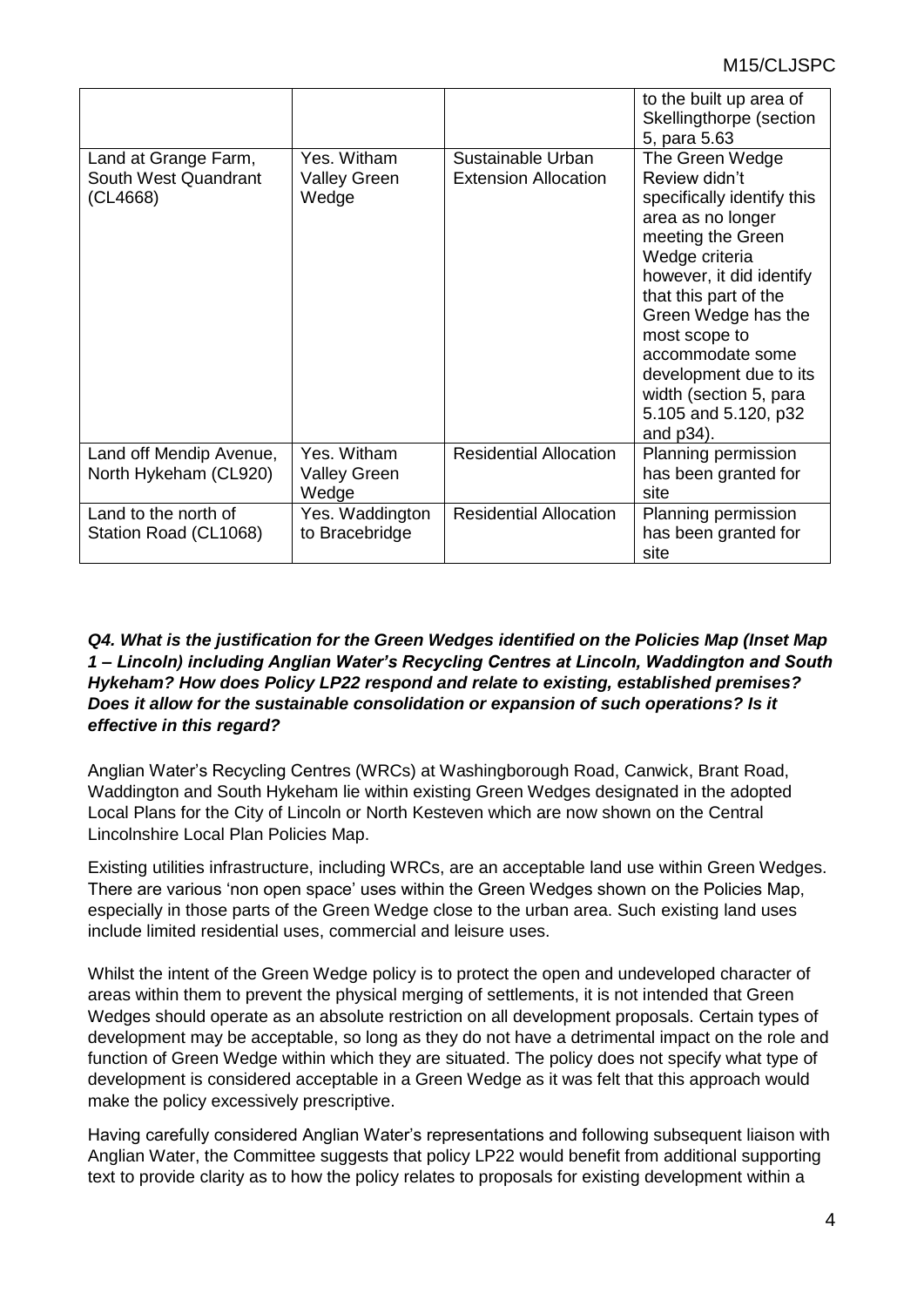|                                                          |                                             |                                                  | to the built up area of<br>Skellingthorpe (section                                                                                                                                                                                                                                                                      |
|----------------------------------------------------------|---------------------------------------------|--------------------------------------------------|-------------------------------------------------------------------------------------------------------------------------------------------------------------------------------------------------------------------------------------------------------------------------------------------------------------------------|
|                                                          |                                             |                                                  | 5, para 5.63                                                                                                                                                                                                                                                                                                            |
| Land at Grange Farm,<br>South West Quandrant<br>(CL4668) | Yes. Witham<br><b>Valley Green</b><br>Wedge | Sustainable Urban<br><b>Extension Allocation</b> | The Green Wedge<br>Review didn't<br>specifically identify this<br>area as no longer<br>meeting the Green<br>Wedge criteria<br>however, it did identify<br>that this part of the<br>Green Wedge has the<br>most scope to<br>accommodate some<br>development due to its<br>width (section 5, para<br>5.105 and 5.120, p32 |
|                                                          |                                             |                                                  | and p34).                                                                                                                                                                                                                                                                                                               |
| Land off Mendip Avenue,<br>North Hykeham (CL920)         | Yes. Witham<br><b>Valley Green</b><br>Wedge | <b>Residential Allocation</b>                    | Planning permission<br>has been granted for<br>site                                                                                                                                                                                                                                                                     |
| Land to the north of<br>Station Road (CL1068)            | Yes. Waddington<br>to Bracebridge           | <b>Residential Allocation</b>                    | Planning permission<br>has been granted for<br>site                                                                                                                                                                                                                                                                     |

#### *Q4. What is the justification for the Green Wedges identified on the Policies Map (Inset Map 1 – Lincoln) including Anglian Water's Recycling Centres at Lincoln, Waddington and South Hykeham? How does Policy LP22 respond and relate to existing, established premises? Does it allow for the sustainable consolidation or expansion of such operations? Is it effective in this regard?*

Anglian Water's Recycling Centres (WRCs) at Washingborough Road, Canwick, Brant Road, Waddington and South Hykeham lie within existing Green Wedges designated in the adopted Local Plans for the City of Lincoln or North Kesteven which are now shown on the Central Lincolnshire Local Plan Policies Map.

Existing utilities infrastructure, including WRCs, are an acceptable land use within Green Wedges. There are various 'non open space' uses within the Green Wedges shown on the Policies Map, especially in those parts of the Green Wedge close to the urban area. Such existing land uses include limited residential uses, commercial and leisure uses.

Whilst the intent of the Green Wedge policy is to protect the open and undeveloped character of areas within them to prevent the physical merging of settlements, it is not intended that Green Wedges should operate as an absolute restriction on all development proposals. Certain types of development may be acceptable, so long as they do not have a detrimental impact on the role and function of Green Wedge within which they are situated. The policy does not specify what type of development is considered acceptable in a Green Wedge as it was felt that this approach would make the policy excessively prescriptive.

Having carefully considered Anglian Water's representations and following subsequent liaison with Anglian Water, the Committee suggests that policy LP22 would benefit from additional supporting text to provide clarity as to how the policy relates to proposals for existing development within a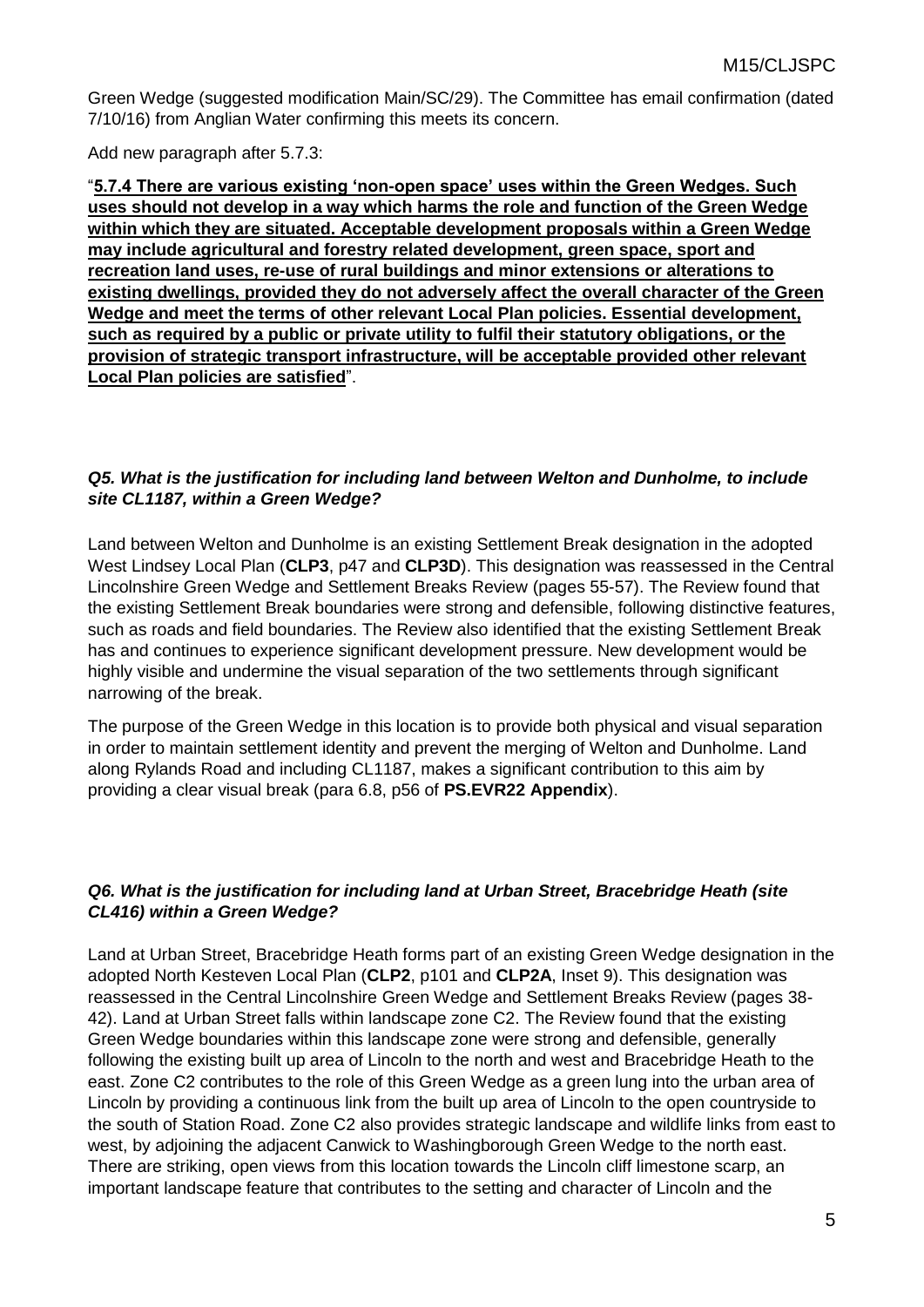Green Wedge (suggested modification Main/SC/29). The Committee has email confirmation (dated 7/10/16) from Anglian Water confirming this meets its concern.

Add new paragraph after 5.7.3:

"**5.7.4 There are various existing 'non-open space' uses within the Green Wedges. Such uses should not develop in a way which harms the role and function of the Green Wedge within which they are situated. Acceptable development proposals within a Green Wedge may include agricultural and forestry related development, green space, sport and recreation land uses, re-use of rural buildings and minor extensions or alterations to existing dwellings, provided they do not adversely affect the overall character of the Green Wedge and meet the terms of other relevant Local Plan policies. Essential development, such as required by a public or private utility to fulfil their statutory obligations, or the provision of strategic transport infrastructure, will be acceptable provided other relevant Local Plan policies are satisfied**".

#### *Q5. What is the justification for including land between Welton and Dunholme, to include site CL1187, within a Green Wedge?*

Land between Welton and Dunholme is an existing Settlement Break designation in the adopted West Lindsey Local Plan (**CLP3**, p47 and **CLP3D**). This designation was reassessed in the Central Lincolnshire Green Wedge and Settlement Breaks Review (pages 55-57). The Review found that the existing Settlement Break boundaries were strong and defensible, following distinctive features, such as roads and field boundaries. The Review also identified that the existing Settlement Break has and continues to experience significant development pressure. New development would be highly visible and undermine the visual separation of the two settlements through significant narrowing of the break.

The purpose of the Green Wedge in this location is to provide both physical and visual separation in order to maintain settlement identity and prevent the merging of Welton and Dunholme. Land along Rylands Road and including CL1187, makes a significant contribution to this aim by providing a clear visual break (para 6.8, p56 of **PS.EVR22 Appendix**).

#### *Q6. What is the justification for including land at Urban Street, Bracebridge Heath (site CL416) within a Green Wedge?*

Land at Urban Street, Bracebridge Heath forms part of an existing Green Wedge designation in the adopted North Kesteven Local Plan (**CLP2**, p101 and **CLP2A**, Inset 9). This designation was reassessed in the Central Lincolnshire Green Wedge and Settlement Breaks Review (pages 38- 42). Land at Urban Street falls within landscape zone C2. The Review found that the existing Green Wedge boundaries within this landscape zone were strong and defensible, generally following the existing built up area of Lincoln to the north and west and Bracebridge Heath to the east. Zone C2 contributes to the role of this Green Wedge as a green lung into the urban area of Lincoln by providing a continuous link from the built up area of Lincoln to the open countryside to the south of Station Road. Zone C2 also provides strategic landscape and wildlife links from east to west, by adjoining the adjacent Canwick to Washingborough Green Wedge to the north east. There are striking, open views from this location towards the Lincoln cliff limestone scarp, an important landscape feature that contributes to the setting and character of Lincoln and the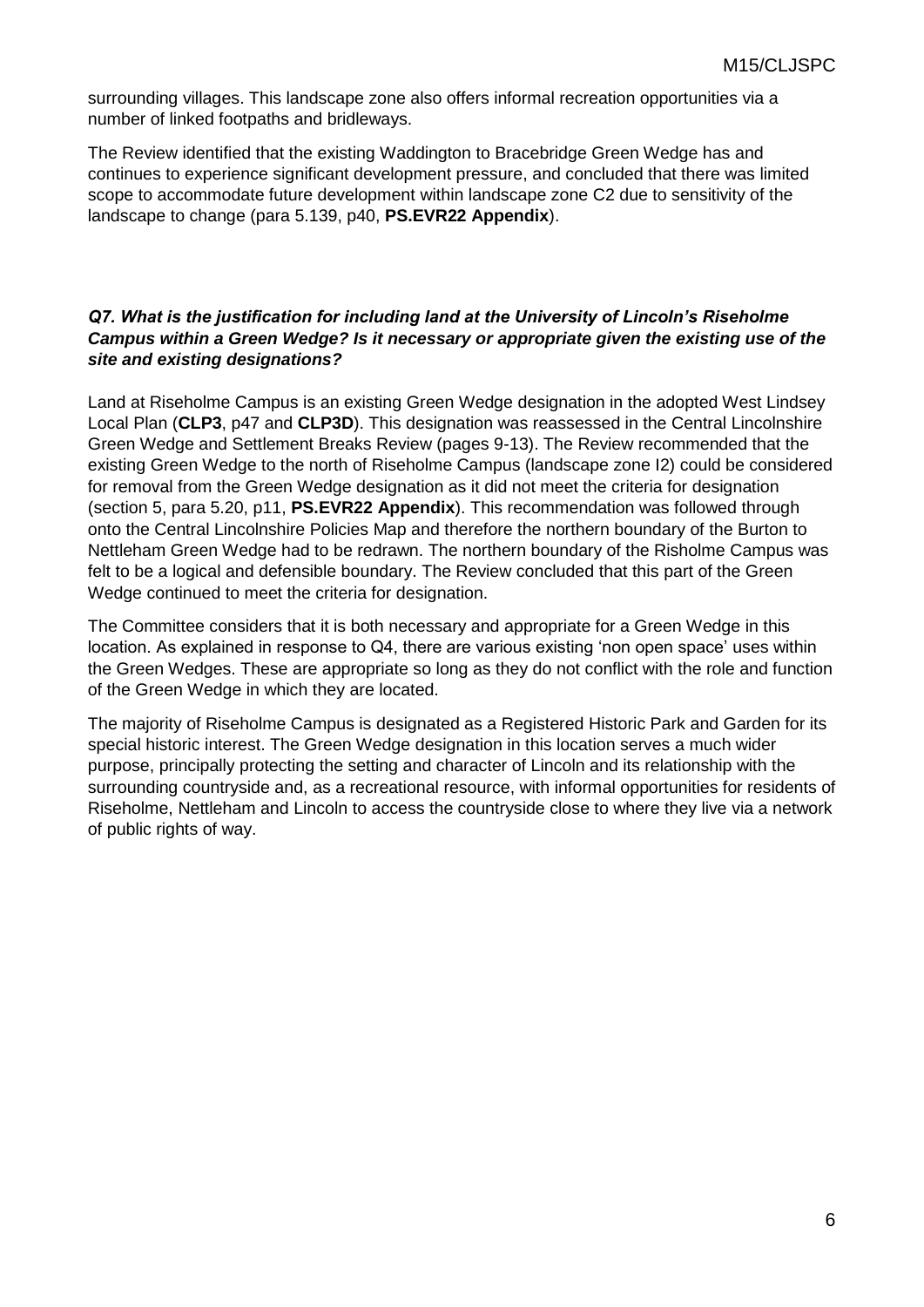surrounding villages. This landscape zone also offers informal recreation opportunities via a number of linked footpaths and bridleways.

The Review identified that the existing Waddington to Bracebridge Green Wedge has and continues to experience significant development pressure, and concluded that there was limited scope to accommodate future development within landscape zone C2 due to sensitivity of the landscape to change (para 5.139, p40, **PS.EVR22 Appendix**).

#### *Q7. What is the justification for including land at the University of Lincoln's Riseholme Campus within a Green Wedge? Is it necessary or appropriate given the existing use of the site and existing designations?*

Land at Riseholme Campus is an existing Green Wedge designation in the adopted West Lindsey Local Plan (**CLP3**, p47 and **CLP3D**). This designation was reassessed in the Central Lincolnshire Green Wedge and Settlement Breaks Review (pages 9-13). The Review recommended that the existing Green Wedge to the north of Riseholme Campus (landscape zone I2) could be considered for removal from the Green Wedge designation as it did not meet the criteria for designation (section 5, para 5.20, p11, **PS.EVR22 Appendix**). This recommendation was followed through onto the Central Lincolnshire Policies Map and therefore the northern boundary of the Burton to Nettleham Green Wedge had to be redrawn. The northern boundary of the Risholme Campus was felt to be a logical and defensible boundary. The Review concluded that this part of the Green Wedge continued to meet the criteria for designation.

The Committee considers that it is both necessary and appropriate for a Green Wedge in this location. As explained in response to Q4, there are various existing 'non open space' uses within the Green Wedges. These are appropriate so long as they do not conflict with the role and function of the Green Wedge in which they are located.

The majority of Riseholme Campus is designated as a Registered Historic Park and Garden for its special historic interest. The Green Wedge designation in this location serves a much wider purpose, principally protecting the setting and character of Lincoln and its relationship with the surrounding countryside and, as a recreational resource, with informal opportunities for residents of Riseholme, Nettleham and Lincoln to access the countryside close to where they live via a network of public rights of way.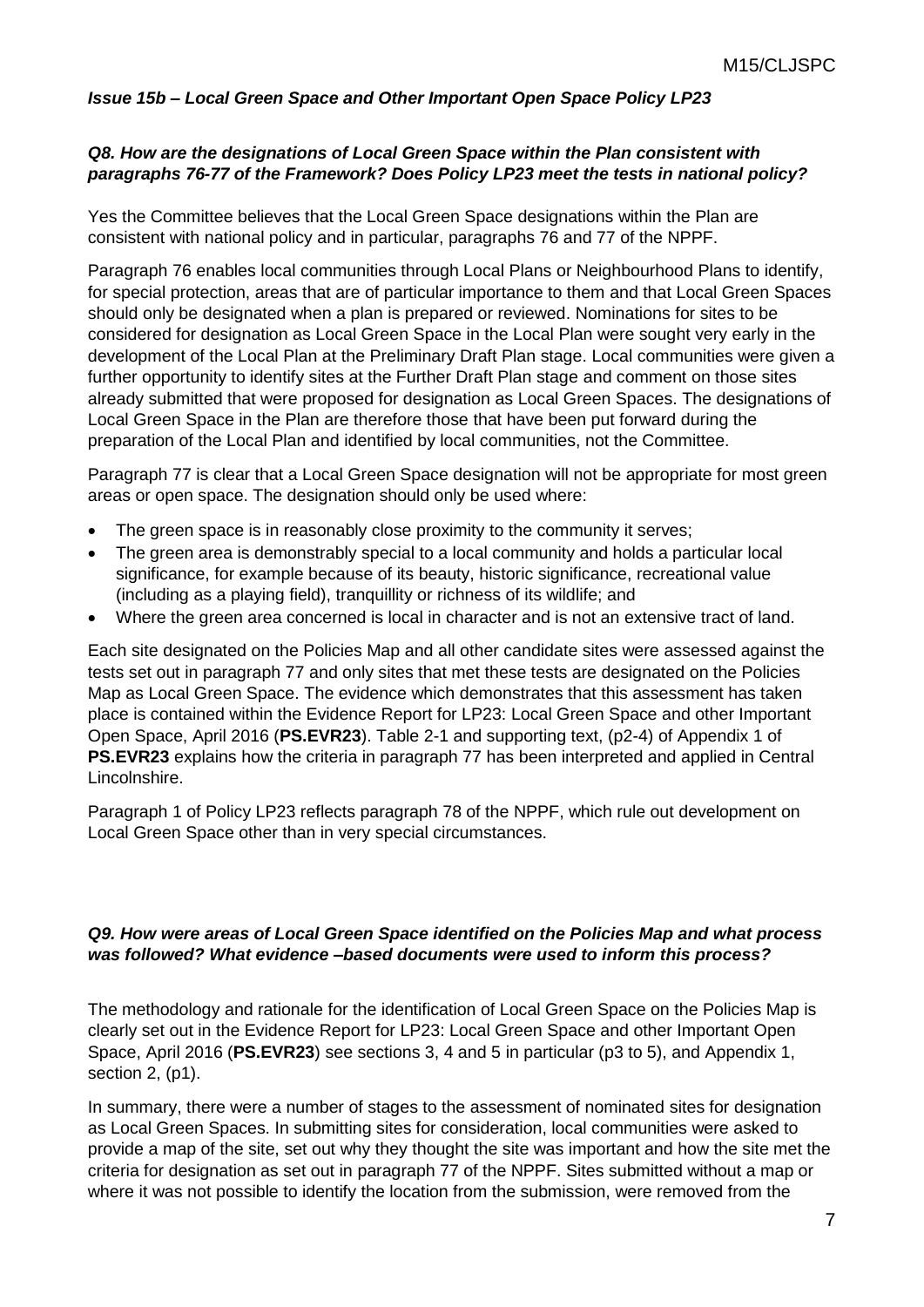*Issue 15b – Local Green Space and Other Important Open Space Policy LP23*

#### **Q8. How are the designations of Local Green Space within the Plan consistent with** *paragraphs 76-77 of the Framework? Does Policy LP23 meet the tests in national policy?*

Yes the Committee believes that the Local Green Space designations within the Plan are consistent with national policy and in particular, paragraphs 76 and 77 of the NPPF.

Paragraph 76 enables local communities through Local Plans or Neighbourhood Plans to identify, for special protection, areas that are of particular importance to them and that Local Green Spaces should only be designated when a plan is prepared or reviewed. Nominations for sites to be considered for designation as Local Green Space in the Local Plan were sought very early in the development of the Local Plan at the Preliminary Draft Plan stage. Local communities were given a further opportunity to identify sites at the Further Draft Plan stage and comment on those sites already submitted that were proposed for designation as Local Green Spaces. The designations of Local Green Space in the Plan are therefore those that have been put forward during the preparation of the Local Plan and identified by local communities, not the Committee.

Paragraph 77 is clear that a Local Green Space designation will not be appropriate for most green areas or open space. The designation should only be used where:

- The green space is in reasonably close proximity to the community it serves;
- The green area is demonstrably special to a local community and holds a particular local significance, for example because of its beauty, historic significance, recreational value (including as a playing field), tranquillity or richness of its wildlife; and
- Where the green area concerned is local in character and is not an extensive tract of land.

Each site designated on the Policies Map and all other candidate sites were assessed against the tests set out in paragraph 77 and only sites that met these tests are designated on the Policies Map as Local Green Space. The evidence which demonstrates that this assessment has taken place is contained within the Evidence Report for LP23: Local Green Space and other Important Open Space, April 2016 (**PS.EVR23**). Table 2-1 and supporting text, (p2-4) of Appendix 1 of **PS.EVR23** explains how the criteria in paragraph 77 has been interpreted and applied in Central Lincolnshire.

Paragraph 1 of Policy LP23 reflects paragraph 78 of the NPPF, which rule out development on Local Green Space other than in very special circumstances.

#### *Q9. How were areas of Local Green Space identified on the Policies Map and what process was followed? What evidence –based documents were used to inform this process?*

The methodology and rationale for the identification of Local Green Space on the Policies Map is clearly set out in the Evidence Report for LP23: Local Green Space and other Important Open Space, April 2016 (**PS.EVR23**) see sections 3, 4 and 5 in particular (p3 to 5), and Appendix 1, section 2, (p1).

In summary, there were a number of stages to the assessment of nominated sites for designation as Local Green Spaces. In submitting sites for consideration, local communities were asked to provide a map of the site, set out why they thought the site was important and how the site met the criteria for designation as set out in paragraph 77 of the NPPF. Sites submitted without a map or where it was not possible to identify the location from the submission, were removed from the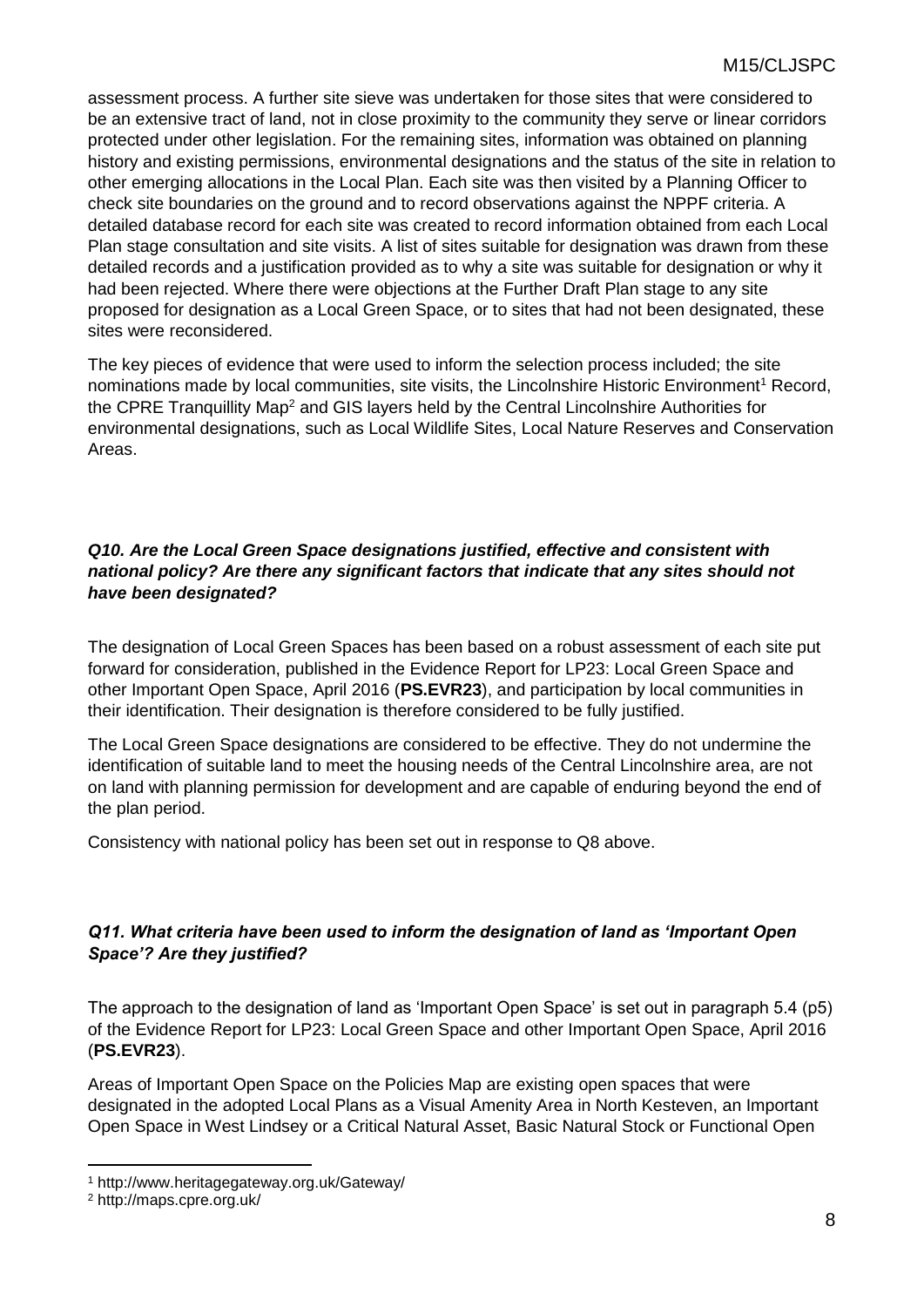assessment process. A further site sieve was undertaken for those sites that were considered to be an extensive tract of land, not in close proximity to the community they serve or linear corridors protected under other legislation. For the remaining sites, information was obtained on planning history and existing permissions, environmental designations and the status of the site in relation to other emerging allocations in the Local Plan. Each site was then visited by a Planning Officer to check site boundaries on the ground and to record observations against the NPPF criteria. A detailed database record for each site was created to record information obtained from each Local Plan stage consultation and site visits. A list of sites suitable for designation was drawn from these detailed records and a justification provided as to why a site was suitable for designation or why it had been rejected. Where there were objections at the Further Draft Plan stage to any site proposed for designation as a Local Green Space, or to sites that had not been designated, these sites were reconsidered.

The key pieces of evidence that were used to inform the selection process included; the site nominations made by local communities, site visits, the Lincolnshire Historic Environment<sup>1</sup> Record, the CPRE Tranquillity Map<sup>2</sup> and GIS layers held by the Central Lincolnshire Authorities for environmental designations, such as Local Wildlife Sites, Local Nature Reserves and Conservation Areas.

#### *Q10. Are the Local Green Space designations justified, effective and consistent with national policy? Are there any significant factors that indicate that any sites should not have been designated?*

The designation of Local Green Spaces has been based on a robust assessment of each site put forward for consideration, published in the Evidence Report for LP23: Local Green Space and other Important Open Space, April 2016 (**PS.EVR23**), and participation by local communities in their identification. Their designation is therefore considered to be fully justified.

The Local Green Space designations are considered to be effective. They do not undermine the identification of suitable land to meet the housing needs of the Central Lincolnshire area, are not on land with planning permission for development and are capable of enduring beyond the end of the plan period.

Consistency with national policy has been set out in response to Q8 above.

#### *Q11. What criteria have been used to inform the designation of land as 'Important Open Space'? Are they justified?*

The approach to the designation of land as 'Important Open Space' is set out in paragraph 5.4 (p5) of the Evidence Report for LP23: Local Green Space and other Important Open Space, April 2016 (**PS.EVR23**).

Areas of Important Open Space on the Policies Map are existing open spaces that were designated in the adopted Local Plans as a Visual Amenity Area in North Kesteven, an Important Open Space in West Lindsey or a Critical Natural Asset, Basic Natural Stock or Functional Open

1

<sup>1</sup> http://www.heritagegateway.org.uk/Gateway/

<sup>2</sup> http://maps.cpre.org.uk/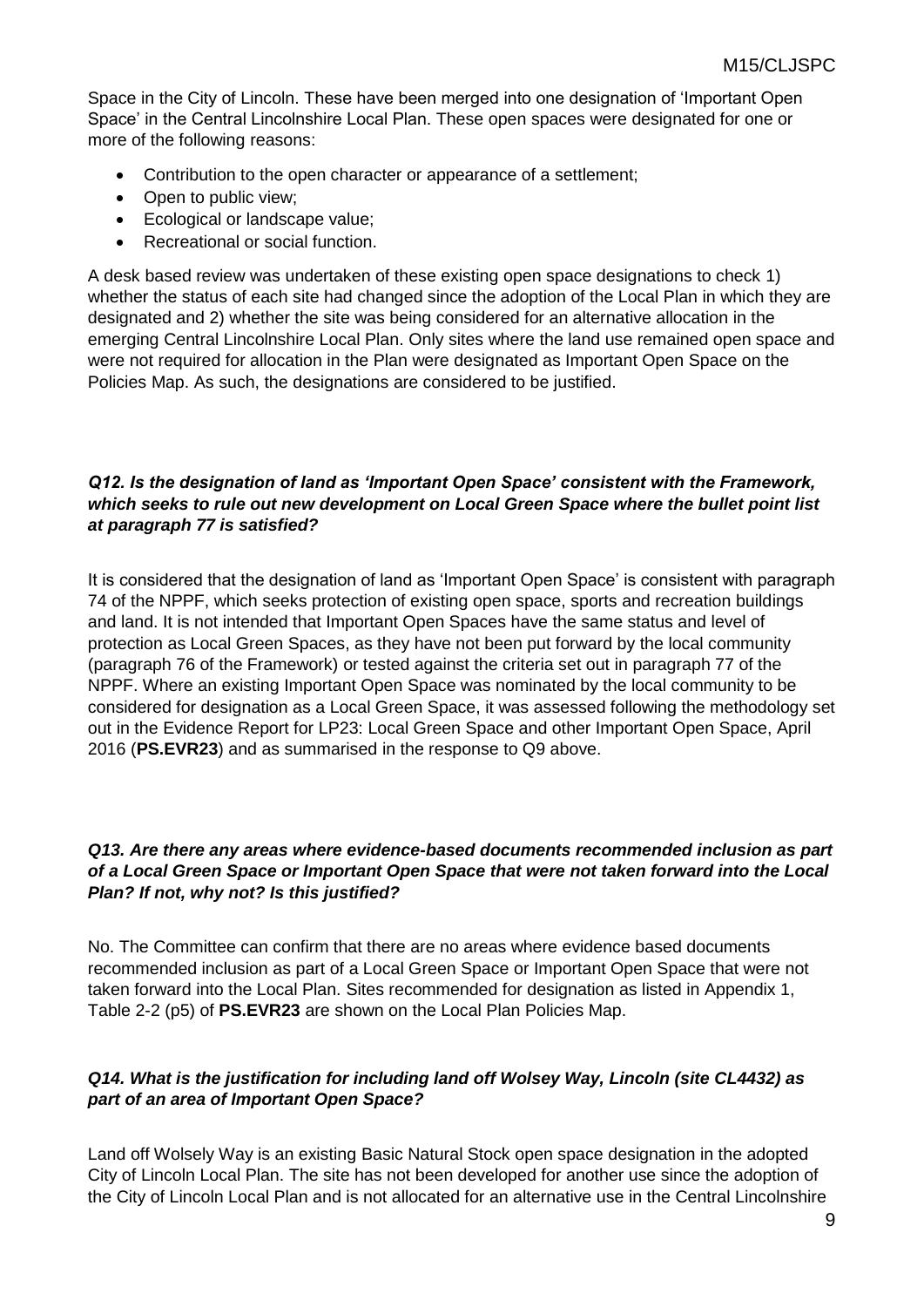Space in the City of Lincoln. These have been merged into one designation of 'Important Open Space' in the Central Lincolnshire Local Plan. These open spaces were designated for one or more of the following reasons:

- Contribution to the open character or appearance of a settlement;
- Open to public view;
- Ecological or landscape value;
- Recreational or social function.

A desk based review was undertaken of these existing open space designations to check 1) whether the status of each site had changed since the adoption of the Local Plan in which they are designated and 2) whether the site was being considered for an alternative allocation in the emerging Central Lincolnshire Local Plan. Only sites where the land use remained open space and were not required for allocation in the Plan were designated as Important Open Space on the Policies Map. As such, the designations are considered to be justified.

#### *Q12. Is the designation of land as 'Important Open Space' consistent with the Framework, which seeks to rule out new development on Local Green Space where the bullet point list at paragraph 77 is satisfied?*

It is considered that the designation of land as 'Important Open Space' is consistent with paragraph 74 of the NPPF, which seeks protection of existing open space, sports and recreation buildings and land. It is not intended that Important Open Spaces have the same status and level of protection as Local Green Spaces, as they have not been put forward by the local community (paragraph 76 of the Framework) or tested against the criteria set out in paragraph 77 of the NPPF. Where an existing Important Open Space was nominated by the local community to be considered for designation as a Local Green Space, it was assessed following the methodology set out in the Evidence Report for LP23: Local Green Space and other Important Open Space, April 2016 (**PS.EVR23**) and as summarised in the response to Q9 above.

#### *Q13. Are there any areas where evidence-based documents recommended inclusion as part of a Local Green Space or Important Open Space that were not taken forward into the Local Plan? If not, why not? Is this justified?*

No. The Committee can confirm that there are no areas where evidence based documents recommended inclusion as part of a Local Green Space or Important Open Space that were not taken forward into the Local Plan. Sites recommended for designation as listed in Appendix 1, Table 2-2 (p5) of **PS.EVR23** are shown on the Local Plan Policies Map.

#### *Q14. What is the justification for including land off Wolsey Way, Lincoln (site CL4432) as part of an area of Important Open Space?*

Land off Wolsely Way is an existing Basic Natural Stock open space designation in the adopted City of Lincoln Local Plan. The site has not been developed for another use since the adoption of the City of Lincoln Local Plan and is not allocated for an alternative use in the Central Lincolnshire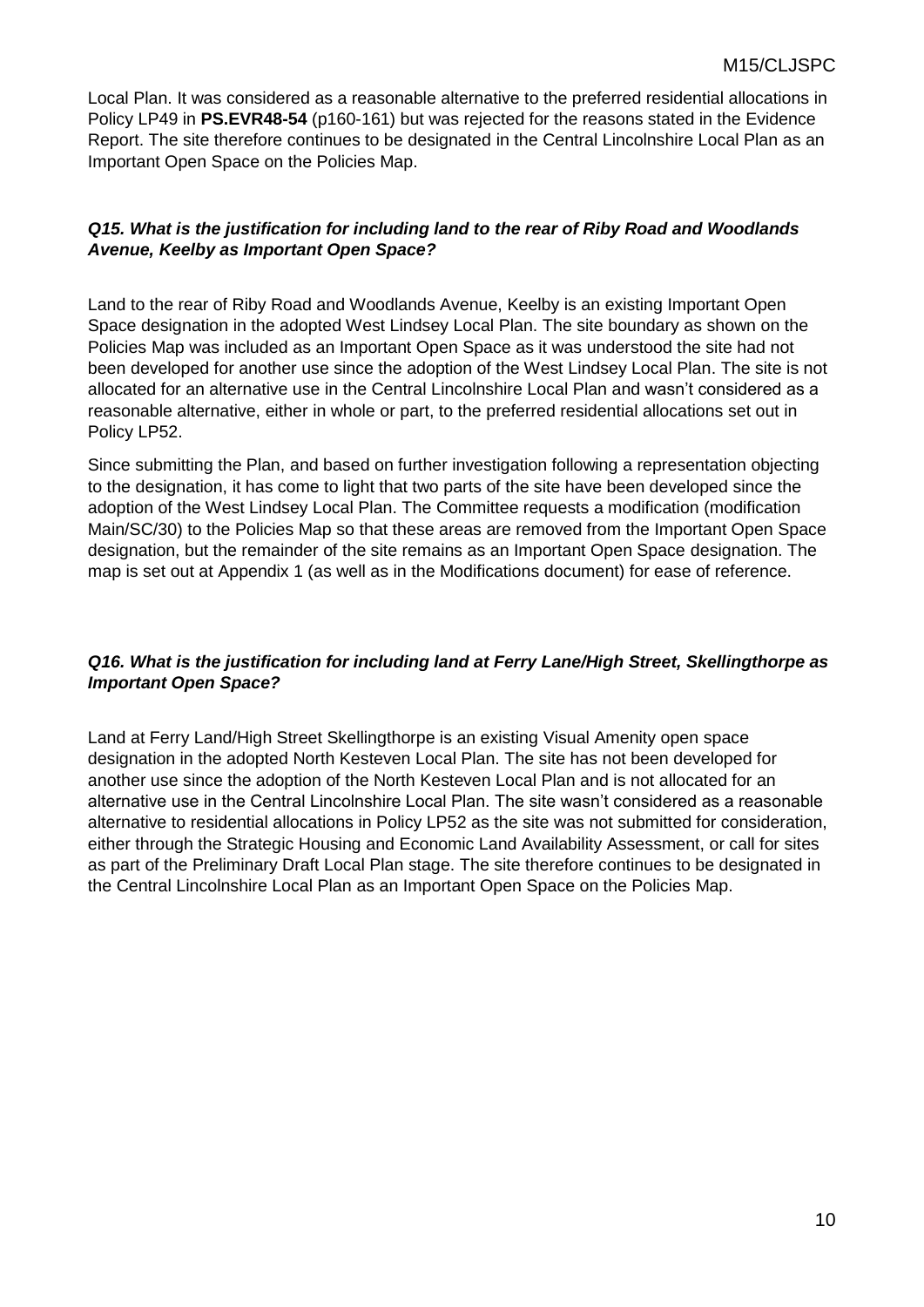Local Plan. It was considered as a reasonable alternative to the preferred residential allocations in Policy LP49 in **PS.EVR48-54** (p160-161) but was rejected for the reasons stated in the Evidence Report. The site therefore continues to be designated in the Central Lincolnshire Local Plan as an Important Open Space on the Policies Map.

#### *Q15. What is the justification for including land to the rear of Riby Road and Woodlands Avenue, Keelby as Important Open Space?*

Land to the rear of Riby Road and Woodlands Avenue, Keelby is an existing Important Open Space designation in the adopted West Lindsey Local Plan. The site boundary as shown on the Policies Map was included as an Important Open Space as it was understood the site had not been developed for another use since the adoption of the West Lindsey Local Plan. The site is not allocated for an alternative use in the Central Lincolnshire Local Plan and wasn't considered as a reasonable alternative, either in whole or part, to the preferred residential allocations set out in Policy LP52.

Since submitting the Plan, and based on further investigation following a representation objecting to the designation, it has come to light that two parts of the site have been developed since the adoption of the West Lindsey Local Plan. The Committee requests a modification (modification Main/SC/30) to the Policies Map so that these areas are removed from the Important Open Space designation, but the remainder of the site remains as an Important Open Space designation. The map is set out at Appendix 1 (as well as in the Modifications document) for ease of reference.

#### *Q16. What is the justification for including land at Ferry Lane/High Street, Skellingthorpe as Important Open Space?*

Land at Ferry Land/High Street Skellingthorpe is an existing Visual Amenity open space designation in the adopted North Kesteven Local Plan. The site has not been developed for another use since the adoption of the North Kesteven Local Plan and is not allocated for an alternative use in the Central Lincolnshire Local Plan. The site wasn't considered as a reasonable alternative to residential allocations in Policy LP52 as the site was not submitted for consideration, either through the Strategic Housing and Economic Land Availability Assessment, or call for sites as part of the Preliminary Draft Local Plan stage. The site therefore continues to be designated in the Central Lincolnshire Local Plan as an Important Open Space on the Policies Map.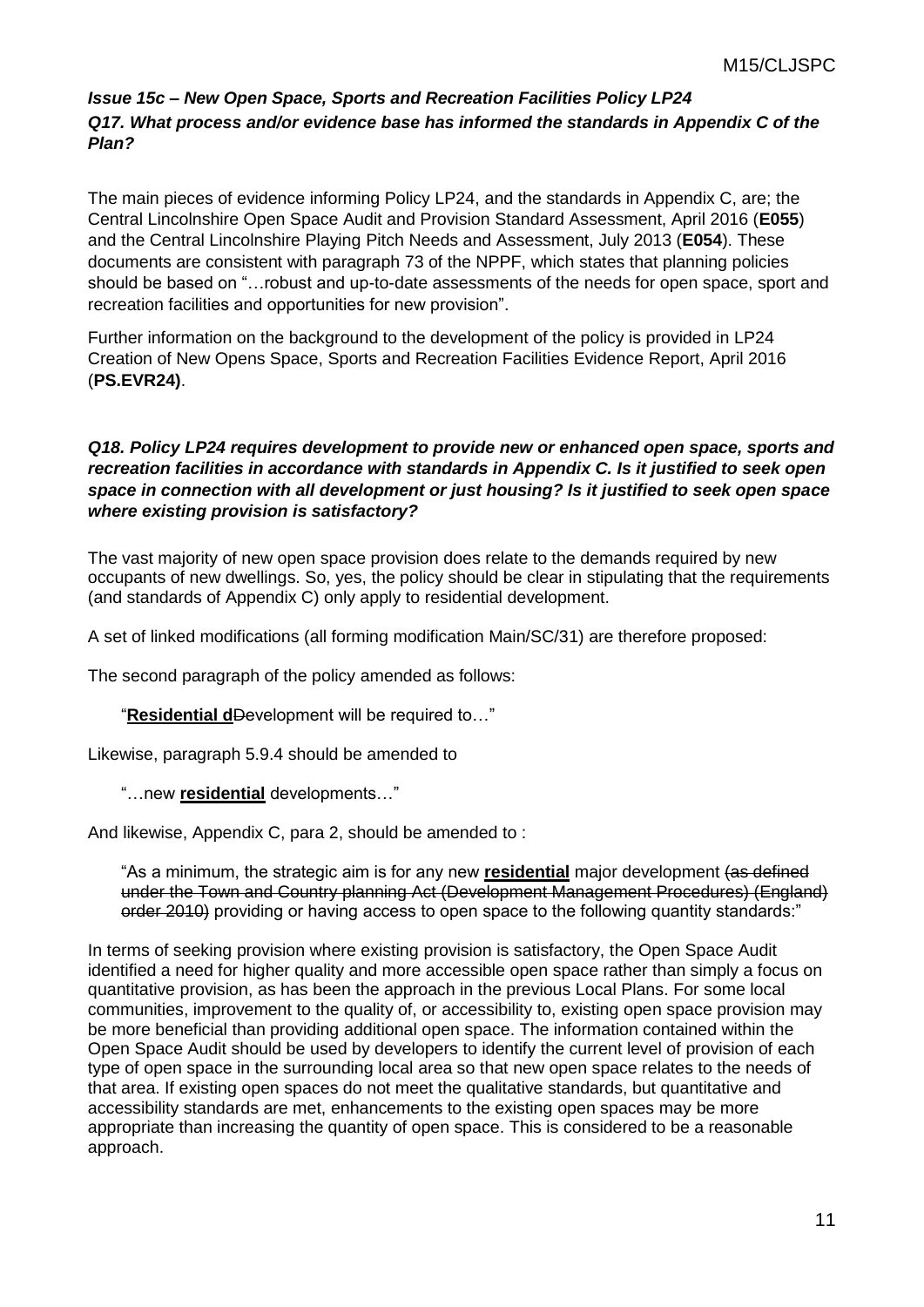#### *Issue 15c – New Open Space, Sports and Recreation Facilities Policy LP24 Q17. What process and/or evidence base has informed the standards in Appendix C of the Plan?*

The main pieces of evidence informing Policy LP24, and the standards in Appendix C, are; the Central Lincolnshire Open Space Audit and Provision Standard Assessment, April 2016 (**E055**) and the Central Lincolnshire Playing Pitch Needs and Assessment, July 2013 (**E054**). These documents are consistent with paragraph 73 of the NPPF, which states that planning policies should be based on "…robust and up-to-date assessments of the needs for open space, sport and recreation facilities and opportunities for new provision".

Further information on the background to the development of the policy is provided in LP24 Creation of New Opens Space, Sports and Recreation Facilities Evidence Report, April 2016 (**PS.EVR24)**.

#### *Q18. Policy LP24 requires development to provide new or enhanced open space, sports and recreation facilities in accordance with standards in Appendix C. Is it justified to seek open space in connection with all development or just housing? Is it justified to seek open space where existing provision is satisfactory?*

The vast majority of new open space provision does relate to the demands required by new occupants of new dwellings. So, yes, the policy should be clear in stipulating that the requirements (and standards of Appendix C) only apply to residential development.

A set of linked modifications (all forming modification Main/SC/31) are therefore proposed:

The second paragraph of the policy amended as follows:

"**Residential d**Development will be required to…"

Likewise, paragraph 5.9.4 should be amended to

"…new **residential** developments…"

And likewise, Appendix C, para 2, should be amended to :

"As a minimum, the strategic aim is for any new **residential** major development (as defined under the Town and Country planning Act (Development Management Procedures) (England) order 2010) providing or having access to open space to the following quantity standards:"

In terms of seeking provision where existing provision is satisfactory, the Open Space Audit identified a need for higher quality and more accessible open space rather than simply a focus on quantitative provision, as has been the approach in the previous Local Plans. For some local communities, improvement to the quality of, or accessibility to, existing open space provision may be more beneficial than providing additional open space. The information contained within the Open Space Audit should be used by developers to identify the current level of provision of each type of open space in the surrounding local area so that new open space relates to the needs of that area. If existing open spaces do not meet the qualitative standards, but quantitative and accessibility standards are met, enhancements to the existing open spaces may be more appropriate than increasing the quantity of open space. This is considered to be a reasonable approach.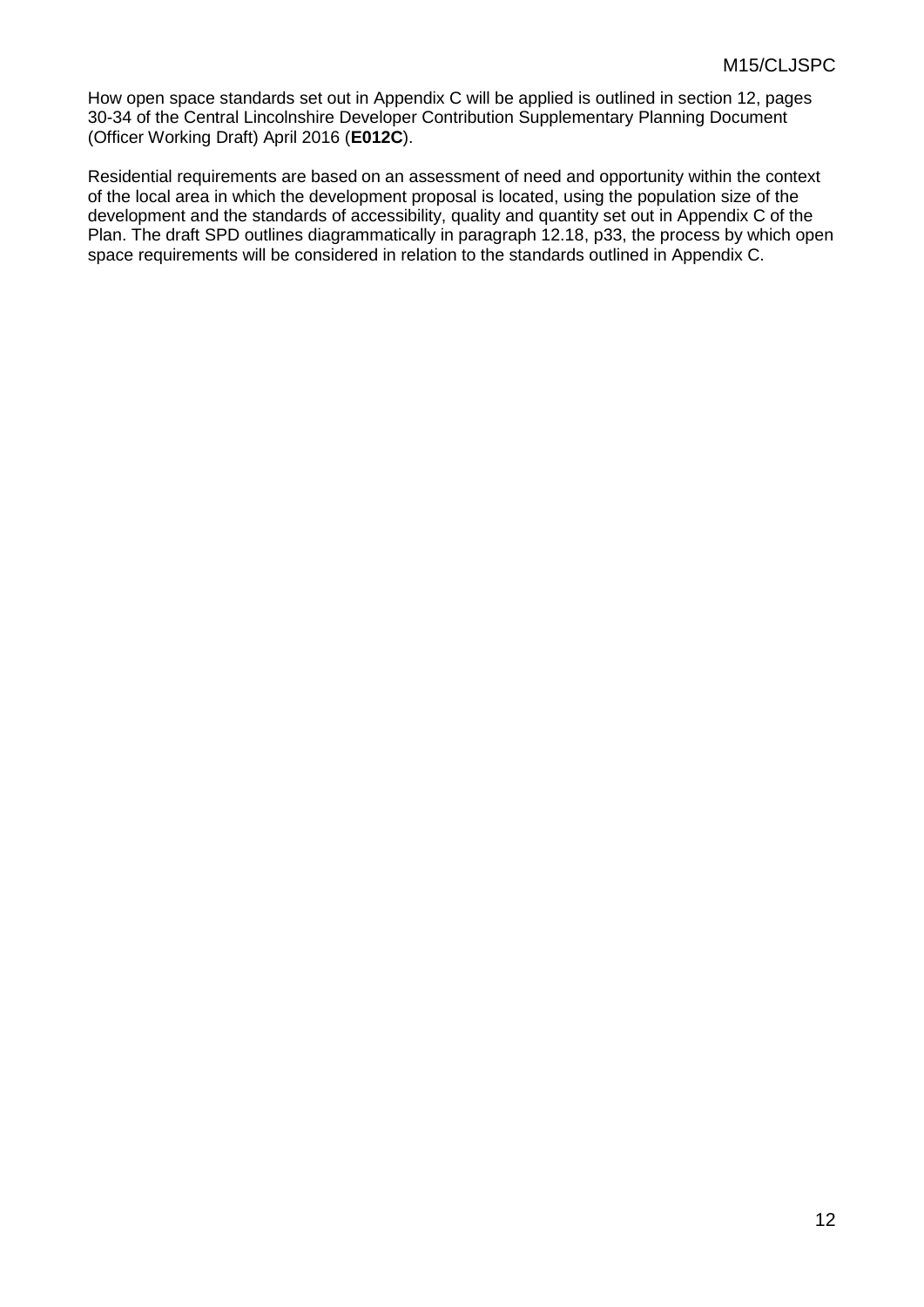How open space standards set out in Appendix C will be applied is outlined in section 12, pages 30-34 of the Central Lincolnshire Developer Contribution Supplementary Planning Document (Officer Working Draft) April 2016 (**E012C**).

Residential requirements are based on an assessment of need and opportunity within the context of the local area in which the development proposal is located, using the population size of the development and the standards of accessibility, quality and quantity set out in Appendix C of the Plan. The draft SPD outlines diagrammatically in paragraph 12.18, p33, the process by which open space requirements will be considered in relation to the standards outlined in Appendix C.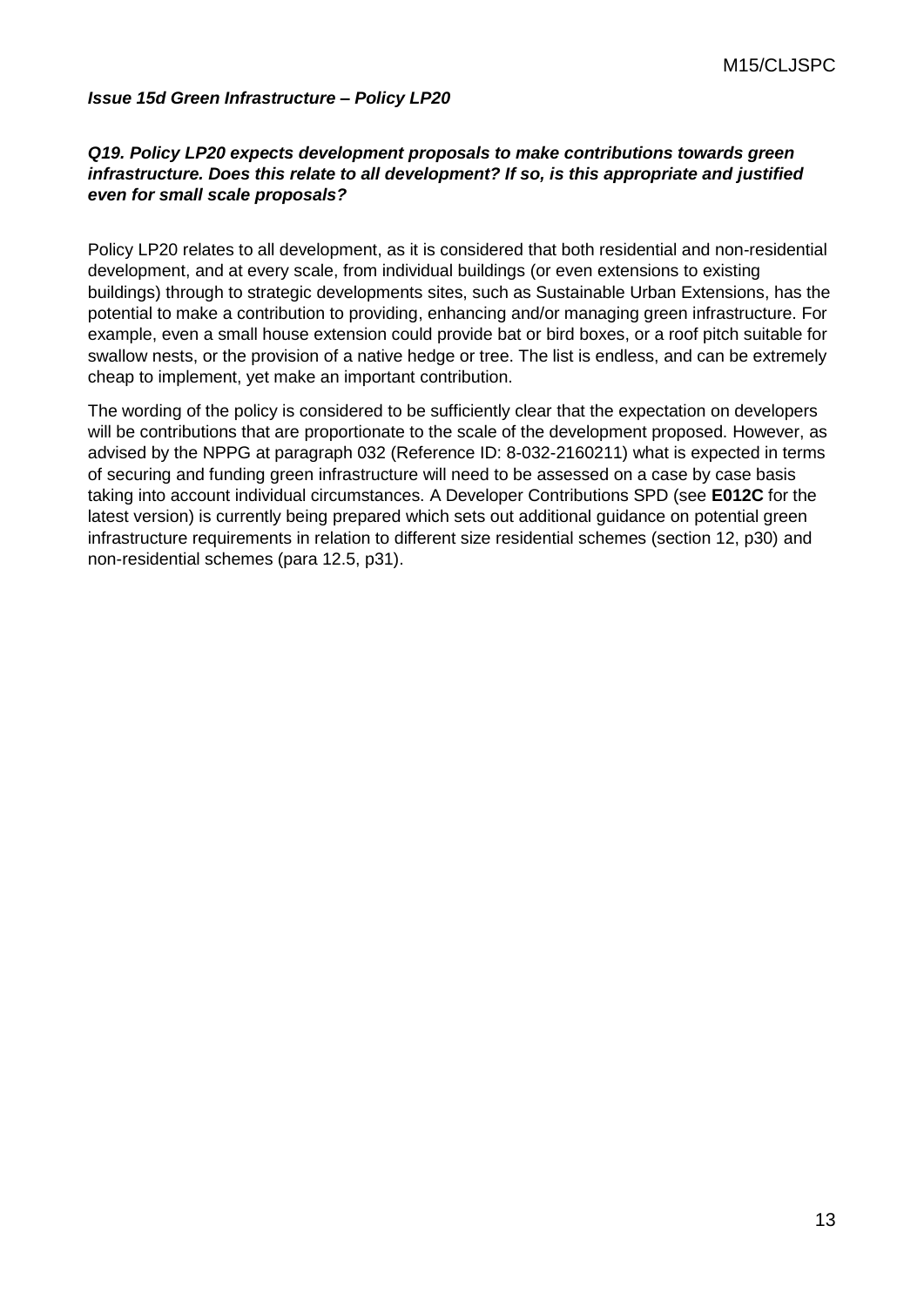#### *Issue 15d Green Infrastructure – Policy LP20*

#### *Q19. Policy LP20 expects development proposals to make contributions towards green infrastructure. Does this relate to all development? If so, is this appropriate and justified even for small scale proposals?*

Policy LP20 relates to all development, as it is considered that both residential and non-residential development, and at every scale, from individual buildings (or even extensions to existing buildings) through to strategic developments sites, such as Sustainable Urban Extensions, has the potential to make a contribution to providing, enhancing and/or managing green infrastructure. For example, even a small house extension could provide bat or bird boxes, or a roof pitch suitable for swallow nests, or the provision of a native hedge or tree. The list is endless, and can be extremely cheap to implement, yet make an important contribution.

The wording of the policy is considered to be sufficiently clear that the expectation on developers will be contributions that are proportionate to the scale of the development proposed. However, as advised by the NPPG at paragraph 032 (Reference ID: 8-032-2160211) what is expected in terms of securing and funding green infrastructure will need to be assessed on a case by case basis taking into account individual circumstances. A Developer Contributions SPD (see **E012C** for the latest version) is currently being prepared which sets out additional guidance on potential green infrastructure requirements in relation to different size residential schemes (section 12, p30) and non-residential schemes (para 12.5, p31).